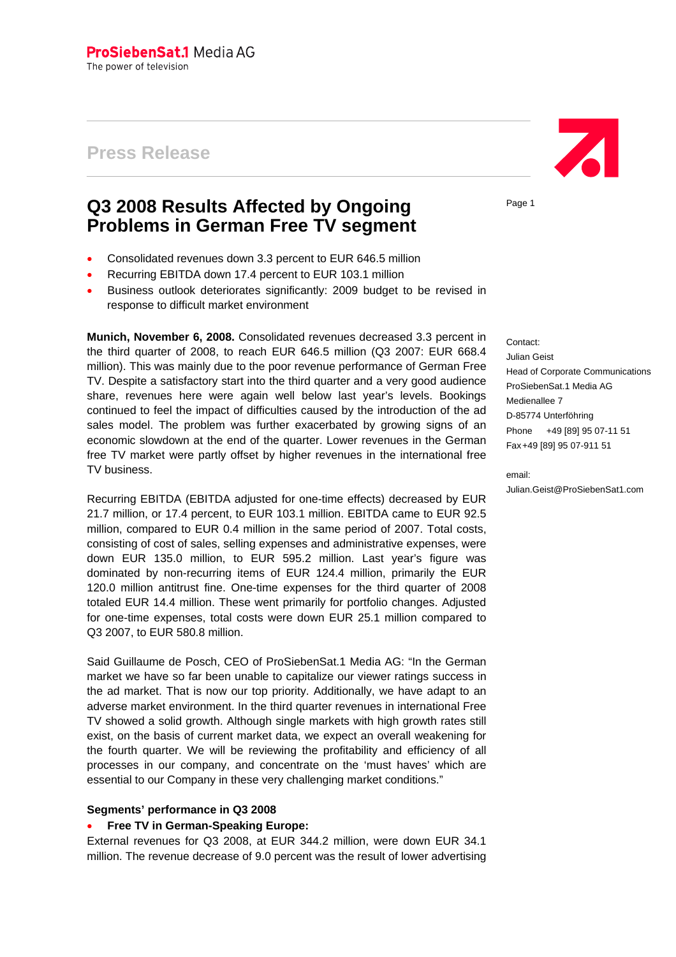# **Press Release**

# **Q3 2008 Results Affected by Ongoing Problems in German Free TV segment**

- Consolidated revenues down 3.3 percent to EUR 646.5 million
- Recurring EBITDA down 17.4 percent to EUR 103.1 million
- Business outlook deteriorates significantly: 2009 budget to be revised in response to difficult market environment

**Munich, November 6, 2008.** Consolidated revenues decreased 3.3 percent in the third quarter of 2008, to reach EUR 646.5 million (Q3 2007: EUR 668.4 million). This was mainly due to the poor revenue performance of German Free TV. Despite a satisfactory start into the third quarter and a very good audience share, revenues here were again well below last year's levels. Bookings continued to feel the impact of difficulties caused by the introduction of the ad sales model. The problem was further exacerbated by growing signs of an economic slowdown at the end of the quarter. Lower revenues in the German free TV market were partly offset by higher revenues in the international free TV business.

Recurring EBITDA (EBITDA adjusted for one-time effects) decreased by EUR 21.7 million, or 17.4 percent, to EUR 103.1 million. EBITDA came to EUR 92.5 million, compared to EUR 0.4 million in the same period of 2007. Total costs, consisting of cost of sales, selling expenses and administrative expenses, were down EUR 135.0 million, to EUR 595.2 million. Last year's figure was dominated by non-recurring items of EUR 124.4 million, primarily the EUR 120.0 million antitrust fine. One-time expenses for the third quarter of 2008 totaled EUR 14.4 million. These went primarily for portfolio changes. Adjusted for one-time expenses, total costs were down EUR 25.1 million compared to Q3 2007, to EUR 580.8 million.

Said Guillaume de Posch, CEO of ProSiebenSat.1 Media AG: "In the German market we have so far been unable to capitalize our viewer ratings success in the ad market. That is now our top priority. Additionally, we have adapt to an adverse market environment. In the third quarter revenues in international Free TV showed a solid growth. Although single markets with high growth rates still exist, on the basis of current market data, we expect an overall weakening for the fourth quarter. We will be reviewing the profitability and efficiency of all processes in our company, and concentrate on the 'must haves' which are essential to our Company in these very challenging market conditions."

## **Segments' performance in Q3 2008**

## • **Free TV in German-Speaking Europe:**

External revenues for Q3 2008, at EUR 344.2 million, were down EUR 34.1 million. The revenue decrease of 9.0 percent was the result of lower advertising



Page 1

Contact:

Julian Geist Head of Corporate Communications ProSiebenSat.1 Media AG Medienallee 7 D-85774 Unterföhring Phone +49 [89] 95 07-11 51 Fax +49 [89] 95 07-911 51

email: Julian.Geist@ProSiebenSat1.com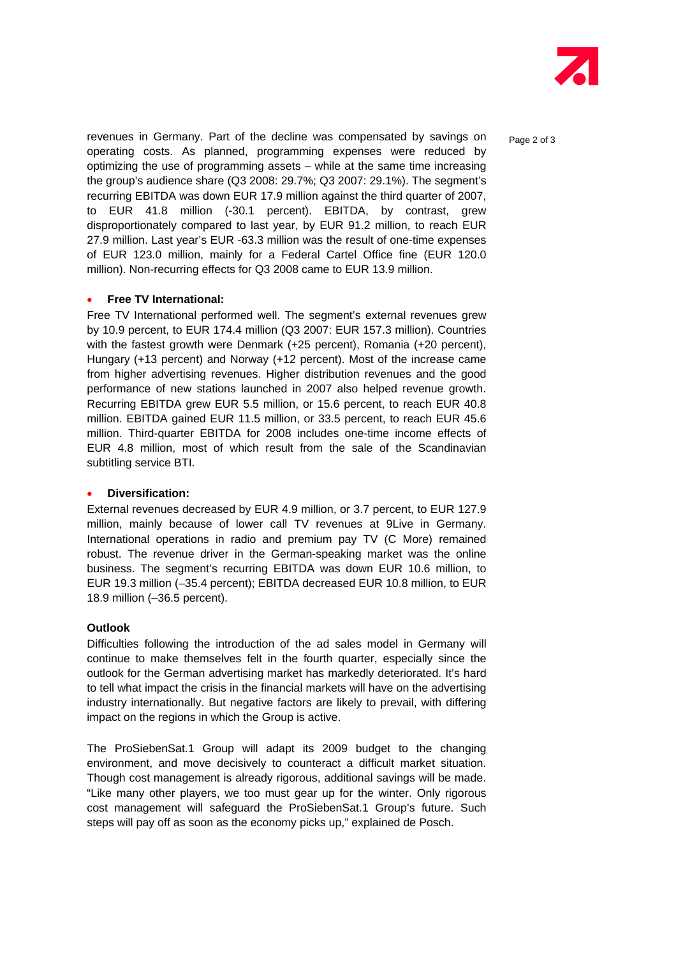

revenues in Germany. Part of the decline was compensated by savings on  $_{\text{Paqe 2 of 3}}$ operating costs. As planned, programming expenses were reduced by optimizing the use of programming assets – while at the same time increasing the group's audience share (Q3 2008: 29.7%; Q3 2007: 29.1%). The segment's recurring EBITDA was down EUR 17.9 million against the third quarter of 2007, to EUR 41.8 million (-30.1 percent). EBITDA, by contrast, grew disproportionately compared to last year, by EUR 91.2 million, to reach EUR 27.9 million. Last year's EUR -63.3 million was the result of one-time expenses of EUR 123.0 million, mainly for a Federal Cartel Office fine (EUR 120.0 million). Non-recurring effects for Q3 2008 came to EUR 13.9 million.

## • **Free TV International:**

Free TV International performed well. The segment's external revenues grew by 10.9 percent, to EUR 174.4 million (Q3 2007: EUR 157.3 million). Countries with the fastest growth were Denmark (+25 percent), Romania (+20 percent), Hungary (+13 percent) and Norway (+12 percent). Most of the increase came from higher advertising revenues. Higher distribution revenues and the good performance of new stations launched in 2007 also helped revenue growth. Recurring EBITDA grew EUR 5.5 million, or 15.6 percent, to reach EUR 40.8 million. EBITDA gained EUR 11.5 million, or 33.5 percent, to reach EUR 45.6 million. Third-quarter EBITDA for 2008 includes one-time income effects of EUR 4.8 million, most of which result from the sale of the Scandinavian subtitling service BTI.

#### • **Diversification:**

External revenues decreased by EUR 4.9 million, or 3.7 percent, to EUR 127.9 million, mainly because of lower call TV revenues at 9Live in Germany. International operations in radio and premium pay TV (C More) remained robust. The revenue driver in the German-speaking market was the online business. The segment's recurring EBITDA was down EUR 10.6 million, to EUR 19.3 million (–35.4 percent); EBITDA decreased EUR 10.8 million, to EUR 18.9 million (–36.5 percent).

#### **Outlook**

Difficulties following the introduction of the ad sales model in Germany will continue to make themselves felt in the fourth quarter, especially since the outlook for the German advertising market has markedly deteriorated. It's hard to tell what impact the crisis in the financial markets will have on the advertising industry internationally. But negative factors are likely to prevail, with differing impact on the regions in which the Group is active.

The ProSiebenSat.1 Group will adapt its 2009 budget to the changing environment, and move decisively to counteract a difficult market situation. Though cost management is already rigorous, additional savings will be made. "Like many other players, we too must gear up for the winter. Only rigorous cost management will safeguard the ProSiebenSat.1 Group's future. Such steps will pay off as soon as the economy picks up," explained de Posch.